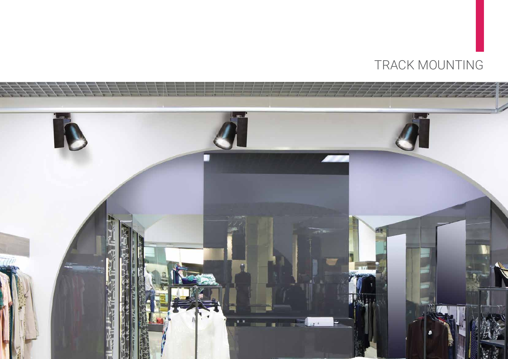

# TRACK MOUNTING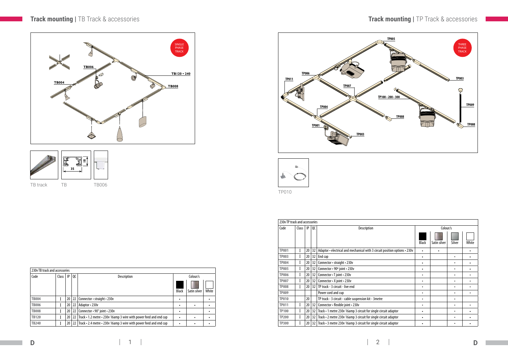## **Track mounting |** TB Track & accessories

TP010

### **Track mounting |** TP Track & accessories

| 230y TB track and accessories |       |    |               |                                                                   |              |              |       |  |  |  |
|-------------------------------|-------|----|---------------|-------------------------------------------------------------------|--------------|--------------|-------|--|--|--|
| Code                          | Class | IP | <sub>0C</sub> | Colour/s                                                          |              |              |       |  |  |  |
|                               |       |    |               |                                                                   | <b>Black</b> | Satin silver | White |  |  |  |
| <b>TB004</b>                  |       | 20 | 22            | Connector • straight • 230v                                       | ٠            |              |       |  |  |  |
| <b>TB006</b>                  |       | 20 | 22            | Adaptor • 230v                                                    | ٠            | ٠            |       |  |  |  |
| <b>TB008</b>                  |       | 20 | 22            | Connector $\cdot$ 90 $\degree$ joint $\cdot$ 230v                 | ٠            |              |       |  |  |  |
| <b>TB120</b>                  |       | 20 | 22            | Track • 1.2 metre • 230v 16amp 3 wire with power feed and end cap | $\bullet$    | ٠            |       |  |  |  |
| <b>TB240</b>                  |       | 20 | 22            | Track • 2.4 metre • 230v 16amp 3 wire with power feed and end cap | ٠            |              |       |  |  |  |



| 230v TP track and accessories |       |    |                 |                                                                            |              |              |           |       |  |  |
|-------------------------------|-------|----|-----------------|----------------------------------------------------------------------------|--------------|--------------|-----------|-------|--|--|
| Code                          | Class | IP | QC              | Description                                                                | Colour/s     |              |           |       |  |  |
|                               |       |    |                 |                                                                            | <b>Black</b> | Satin silver | Silver    | White |  |  |
| <b>TP001</b>                  | I     | 20 | 32              | Adaptor • electrical and mechanical with 3 circuit position options • 230v | $\bullet$    | $\bullet$    |           |       |  |  |
| <b>TP003</b>                  | I     | 20 | 32              | End cap                                                                    | $\bullet$    |              | $\bullet$ |       |  |  |
| <b>TP004</b>                  | I     | 20 | 32              | Connector · straight · 230v                                                | ٠            |              | ٠         |       |  |  |
| <b>TP005</b>                  | I     | 20 | 32              | Connector • 90° joint • 230v                                               | ٠            |              | $\bullet$ |       |  |  |
| <b>TP006</b>                  | I     | 20 | 32              | Connector • T joint • 230v                                                 | ٠            |              |           |       |  |  |
| <b>TP007</b>                  | I     | 20 | 32              | Connector . X joint . 230v                                                 | ٠            |              |           |       |  |  |
| <b>TP008</b>                  | I     | 20 | 32              | TP track - 3 circuit - live end                                            | ٠            |              |           |       |  |  |
| <b>TP009</b>                  |       |    |                 | Power cord and cup                                                         | ٠            |              | $\bullet$ |       |  |  |
| <b>TP010</b>                  |       | 20 |                 | TP track - 3 circuit - cable suspension kit - 3 metre                      | ٠            |              | ٠         |       |  |  |
| <b>TP011</b>                  | I     | 20 | 32              | Connector · flexible joint · 230v                                          | ٠            |              | $\bullet$ |       |  |  |
| <b>TP100</b>                  | I     | 20 | 32              | Track • 1 metre 230v 16amp 3 circuit for single circuit adaptor            | ٠            |              | $\bullet$ |       |  |  |
| <b>TP200</b>                  | I     | 20 | 32              | Track • 2 metre 230v 16amp 3 circuit for single circuit adaptor            | ٠            |              |           |       |  |  |
| <b>TP300</b>                  | I     | 20 | 32 <sub>1</sub> | Track • 3 metre 230v 16amp 3 circuit for single circuit adaptor            | ٠            |              |           |       |  |  |





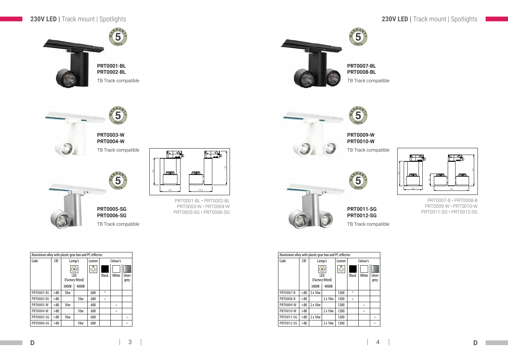PRT0009-W PRT0010-W

 $\left(5\right)$ Years  $h$ 

PRT0011-SG PRT0012-SG

PRT0001-BL • PRT0002-BL PRT0003-W • PRT0004-W PRT0005-SG • PRT0006-SG









| Aluminium alloy with plastic gear box and PC reflector |            |                 |                  |       |              |       |        |  |  |  |
|--------------------------------------------------------|------------|-----------------|------------------|-------|--------------|-------|--------|--|--|--|
| Code                                                   | <b>CRI</b> |                 | Lamp/s           | Lumen | Colour/s     |       |        |  |  |  |
|                                                        |            |                 | $\circ$<br>LED   | 头     | <b>Black</b> | White | Silver |  |  |  |
|                                                        |            |                 | (Factory fitted) |       |              |       | grey   |  |  |  |
|                                                        |            | 3000K<br>4000K  |                  |       |              |       |        |  |  |  |
| <b>PRT0001-BL</b>                                      | > 80       | 10 <sub>w</sub> |                  | 600   |              |       |        |  |  |  |
| <b>PRT0002-BL</b>                                      | > 80       |                 | 10 <sub>w</sub>  | 600   |              |       |        |  |  |  |
| <b>PRT0003-W</b>                                       | > 80       | <b>10w</b>      |                  | 600   |              |       |        |  |  |  |
| <b>PRT0004-W</b>                                       | > 80       | 10w             |                  | 600   |              |       |        |  |  |  |
| <b>PRT0005-SG</b>                                      | > 80       | <b>10w</b>      |                  | 600   |              |       |        |  |  |  |
| <b>PRT0006-SG</b>                                      | >80        |                 | 10w              | 600   |              |       |        |  |  |  |

100

*ati* minim

134

115,5

**ATMINNAN** 

170

PRT0007-B • PRT0008-B PRT0009-W • PRT0010-W PRT0011-SG • PRT0012-SG



| Aluminium alloy with plastic gear box and PC reflector |            |         |                         |       |              |       |                |  |  |  |
|--------------------------------------------------------|------------|---------|-------------------------|-------|--------------|-------|----------------|--|--|--|
| Code                                                   | <b>CRI</b> |         | Lamp/s                  | Lumen | Colour/s     |       |                |  |  |  |
|                                                        |            |         | $\circledcirc$          |       |              |       |                |  |  |  |
|                                                        |            |         | LED<br>(Factory fitted) |       | <b>Black</b> | White | Silver<br>grey |  |  |  |
|                                                        |            | 3000K   | 4000K                   |       |              |       |                |  |  |  |
| <b>PRT0007-B</b>                                       | > 80       | 2 x 10w |                         | 1200  |              |       |                |  |  |  |
| <b>PRT0008-B</b>                                       | > 80       |         | 2 x 10w                 | 1200  |              |       |                |  |  |  |
| <b>PRT0009-W</b>                                       | > 80       | 2 x 10w |                         | 1200  |              |       |                |  |  |  |
| <b>PRT0010-W</b>                                       | > 80       | 2 x 10w |                         | 1200  |              |       |                |  |  |  |
| <b>PRT0011-SG</b>                                      | > 80       | 2 x 10w |                         | 1200  |              |       |                |  |  |  |
| <b>PRT0012-SG</b>                                      | >80        |         | 2 x 10w                 | 1200  |              |       |                |  |  |  |